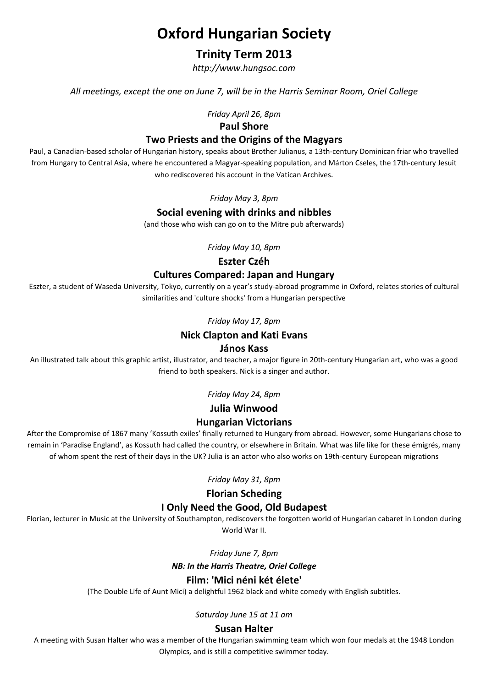# Oxford Hungarian Society

# Trinity Term 2013

http://www.hungsoc.com

All meetings, except the one on June 7, will be in the Harris Seminar Room, Oriel College

Friday April 26, 8pm

#### Paul Shore

### Two Priests and the Origins of the Magyars

Paul, a Canadian-based scholar of Hungarian history, speaks about Brother Julianus, a 13th-century Dominican friar who travelled from Hungary to Central Asia, where he encountered a Magyar-speaking population, and Márton Cseles, the 17th-century Jesuit who rediscovered his account in the Vatican Archives.

Friday May 3, 8pm

#### Social evening with drinks and nibbles

(and those who wish can go on to the Mitre pub afterwards)

Friday May 10, 8pm

# Eszter Czéh

# Cultures Compared: Japan and Hungary

Eszter, a student of Waseda University, Tokyo, currently on a year's study-abroad programme in Oxford, relates stories of cultural similarities and 'culture shocks' from a Hungarian perspective

#### Friday May 17, 8pm

# Nick Clapton and Kati Evans

#### János Kass

An illustrated talk about this graphic artist, illustrator, and teacher, a major figure in 20th-century Hungarian art, who was a good friend to both speakers. Nick is a singer and author.

Friday May 24, 8pm

# Julia Winwood

# Hungarian Victorians

After the Compromise of 1867 many 'Kossuth exiles' finally returned to Hungary from abroad. However, some Hungarians chose to remain in 'Paradise England', as Kossuth had called the country, or elsewhere in Britain. What was life like for these émigrés, many of whom spent the rest of their days in the UK? Julia is an actor who also works on 19th-century European migrations

Friday May 31, 8pm

# Florian Scheding

# I Only Need the Good, Old Budapest

Florian, lecturer in Music at the University of Southampton, rediscovers the forgotten world of Hungarian cabaret in London during World War II.

Friday June 7, 8pm

#### NB: In the Harris Theatre, Oriel College

# Film: 'Mici néni két élete'

(The Double Life of Aunt Mici) a delightful 1962 black and white comedy with English subtitles.

Saturday June 15 at 11 am

# Susan Halter

A meeting with Susan Halter who was a member of the Hungarian swimming team which won four medals at the 1948 London Olympics, and is still a competitive swimmer today.